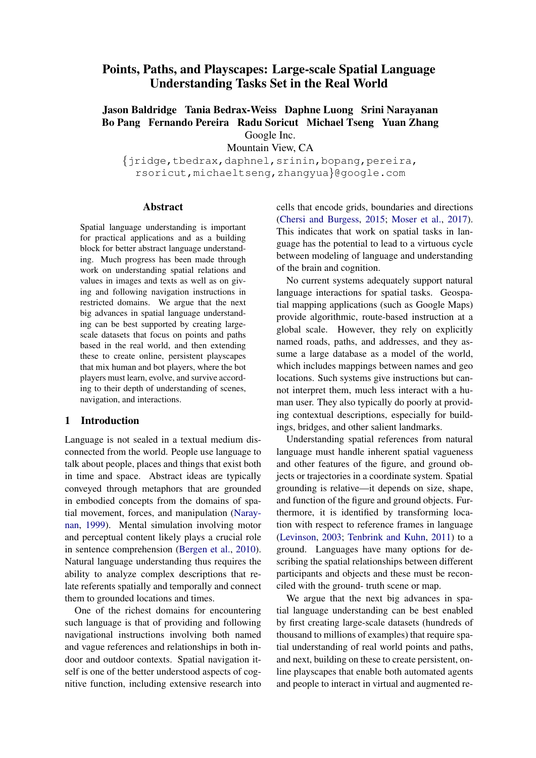# Points, Paths, and Playscapes: Large-scale Spatial Language Understanding Tasks Set in the Real World

# Jason Baldridge Tania Bedrax-Weiss Daphne Luong Srini Narayanan Bo Pang Fernando Pereira Radu Soricut Michael Tseng Yuan Zhang Google Inc.

Mountain View, CA

{jridge,tbedrax,daphnel,srinin,bopang,pereira, rsoricut,michaeltseng,zhangyua}@google.com

#### Abstract

Spatial language understanding is important for practical applications and as a building block for better abstract language understanding. Much progress has been made through work on understanding spatial relations and values in images and texts as well as on giving and following navigation instructions in restricted domains. We argue that the next big advances in spatial language understanding can be best supported by creating largescale datasets that focus on points and paths based in the real world, and then extending these to create online, persistent playscapes that mix human and bot players, where the bot players must learn, evolve, and survive according to their depth of understanding of scenes, navigation, and interactions.

# 1 Introduction

Language is not sealed in a textual medium disconnected from the world. People use language to talk about people, places and things that exist both in time and space. Abstract ideas are typically conveyed through metaphors that are grounded in embodied concepts from the domains of spatial movement, forces, and manipulation [\(Naray](#page-6-0)[nan,](#page-6-0) [1999\)](#page-6-0). Mental simulation involving motor and perceptual content likely plays a crucial role in sentence comprehension [\(Bergen et al.,](#page-5-0) [2010\)](#page-5-0). Natural language understanding thus requires the ability to analyze complex descriptions that relate referents spatially and temporally and connect them to grounded locations and times.

One of the richest domains for encountering such language is that of providing and following navigational instructions involving both named and vague references and relationships in both indoor and outdoor contexts. Spatial navigation itself is one of the better understood aspects of cognitive function, including extensive research into cells that encode grids, boundaries and directions [\(Chersi and Burgess,](#page-5-1) [2015;](#page-5-1) [Moser et al.,](#page-6-1) [2017\)](#page-6-1). This indicates that work on spatial tasks in language has the potential to lead to a virtuous cycle between modeling of language and understanding of the brain and cognition.

No current systems adequately support natural language interactions for spatial tasks. Geospatial mapping applications (such as Google Maps) provide algorithmic, route-based instruction at a global scale. However, they rely on explicitly named roads, paths, and addresses, and they assume a large database as a model of the world, which includes mappings between names and geo locations. Such systems give instructions but cannot interpret them, much less interact with a human user. They also typically do poorly at providing contextual descriptions, especially for buildings, bridges, and other salient landmarks.

Understanding spatial references from natural language must handle inherent spatial vagueness and other features of the figure, and ground objects or trajectories in a coordinate system. Spatial grounding is relative—it depends on size, shape, and function of the figure and ground objects. Furthermore, it is identified by transforming location with respect to reference frames in language [\(Levinson,](#page-6-2) [2003;](#page-6-2) [Tenbrink and Kuhn,](#page-6-3) [2011\)](#page-6-3) to a ground. Languages have many options for describing the spatial relationships between different participants and objects and these must be reconciled with the ground- truth scene or map.

We argue that the next big advances in spatial language understanding can be best enabled by first creating large-scale datasets (hundreds of thousand to millions of examples) that require spatial understanding of real world points and paths, and next, building on these to create persistent, online playscapes that enable both automated agents and people to interact in virtual and augmented re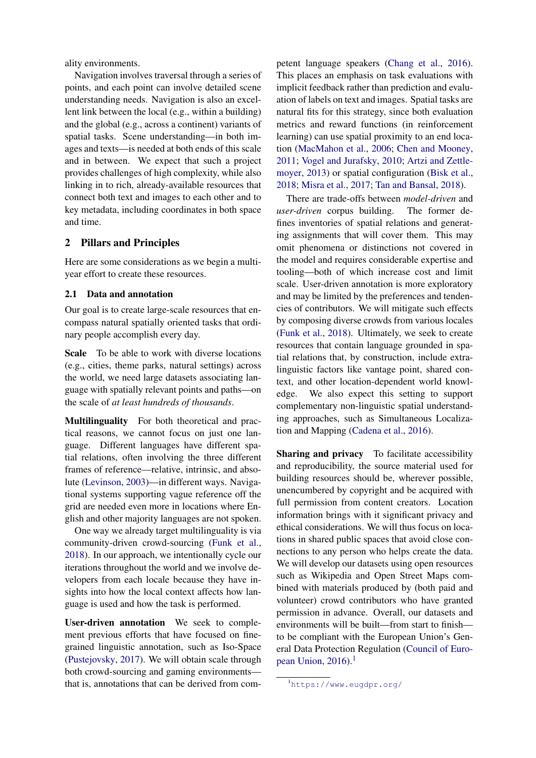ality environments.

Navigation involves traversal through a series of points, and each point can involve detailed scene understanding needs. Navigation is also an excellent link between the local (e.g., within a building) and the global (e.g., across a continent) variants of spatial tasks. Scene understanding—in both images and texts—is needed at both ends of this scale and in between. We expect that such a project provides challenges of high complexity, while also linking in to rich, already-available resources that connect both text and images to each other and to key metadata, including coordinates in both space and time.

## 2 Pillars and Principles

Here are some considerations as we begin a multiyear effort to create these resources.

### 2.1 Data and annotation

Our goal is to create large-scale resources that encompass natural spatially oriented tasks that ordinary people accomplish every day.

Scale To be able to work with diverse locations (e.g., cities, theme parks, natural settings) across the world, we need large datasets associating language with spatially relevant points and paths—on the scale of *at least hundreds of thousands*.

Multilinguality For both theoretical and practical reasons, we cannot focus on just one language. Different languages have different spatial relations, often involving the three different frames of reference—relative, intrinsic, and absolute [\(Levinson,](#page-6-2) [2003\)](#page-6-2)—in different ways. Navigational systems supporting vague reference off the grid are needed even more in locations where English and other majority languages are not spoken.

One way we already target multilinguality is via community-driven crowd-sourcing [\(Funk et al.,](#page-5-2) [2018\)](#page-5-2). In our approach, we intentionally cycle our iterations throughout the world and we involve developers from each locale because they have insights into how the local context affects how language is used and how the task is performed.

User-driven annotation We seek to complement previous efforts that have focused on finegrained linguistic annotation, such as Iso-Space [\(Pustejovsky,](#page-6-4) [2017\)](#page-6-4). We will obtain scale through both crowd-sourcing and gaming environments that is, annotations that can be derived from competent language speakers [\(Chang et al.,](#page-5-3) [2016\)](#page-5-3). This places an emphasis on task evaluations with implicit feedback rather than prediction and evaluation of labels on text and images. Spatial tasks are natural fits for this strategy, since both evaluation metrics and reward functions (in reinforcement learning) can use spatial proximity to an end location [\(MacMahon et al.,](#page-6-5) [2006;](#page-6-5) [Chen and Mooney,](#page-5-4) [2011;](#page-5-4) [Vogel and Jurafsky,](#page-6-6) [2010;](#page-6-6) [Artzi and Zettle](#page-5-5)[moyer,](#page-5-5) [2013\)](#page-5-5) or spatial configuration [\(Bisk et al.,](#page-5-6) [2018;](#page-5-6) [Misra et al.,](#page-6-7) [2017;](#page-6-7) [Tan and Bansal,](#page-6-8) [2018\)](#page-6-8).

There are trade-offs between *model-driven* and *user-driven* corpus building. The former defines inventories of spatial relations and generating assignments that will cover them. This may omit phenomena or distinctions not covered in the model and requires considerable expertise and tooling—both of which increase cost and limit scale. User-driven annotation is more exploratory and may be limited by the preferences and tendencies of contributors. We will mitigate such effects by composing diverse crowds from various locales [\(Funk et al.,](#page-5-2) [2018\)](#page-5-2). Ultimately, we seek to create resources that contain language grounded in spatial relations that, by construction, include extralinguistic factors like vantage point, shared context, and other location-dependent world knowledge. We also expect this setting to support complementary non-linguistic spatial understanding approaches, such as Simultaneous Localization and Mapping [\(Cadena et al.,](#page-5-7) [2016\)](#page-5-7).

Sharing and privacy To facilitate accessibility and reproducibility, the source material used for building resources should be, wherever possible, unencumbered by copyright and be acquired with full permission from content creators. Location information brings with it significant privacy and ethical considerations. We will thus focus on locations in shared public spaces that avoid close connections to any person who helps create the data. We will develop our datasets using open resources such as Wikipedia and Open Street Maps combined with materials produced by (both paid and volunteer) crowd contributors who have granted permission in advance. Overall, our datasets and environments will be built—from start to finish to be compliant with the European Union's General Data Protection Regulation [\(Council of Euro](#page-5-8)[pean Union,](#page-5-8)  $2016$  $2016$  $2016$ ).<sup>1</sup>

<span id="page-1-0"></span><sup>1</sup><https://www.eugdpr.org/>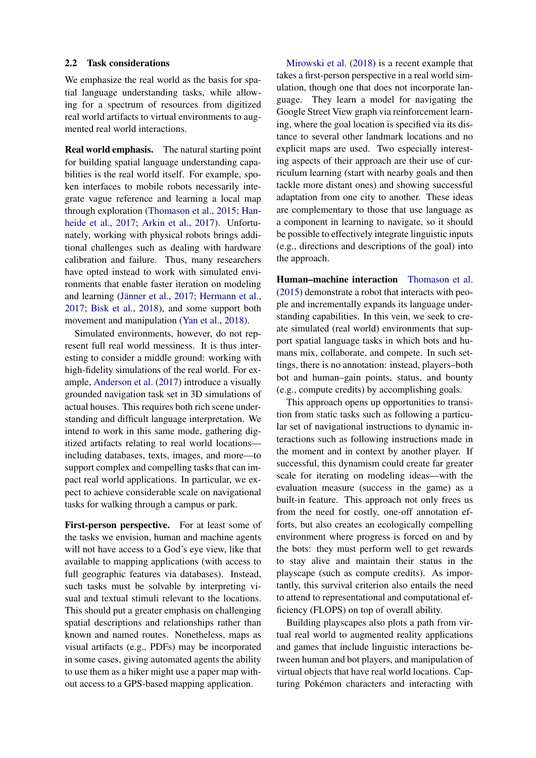#### 2.2 Task considerations

We emphasize the real world as the basis for spatial language understanding tasks, while allowing for a spectrum of resources from digitized real world artifacts to virtual environments to augmented real world interactions.

Real world emphasis. The natural starting point for building spatial language understanding capabilities is the real world itself. For example, spoken interfaces to mobile robots necessarily integrate vague reference and learning a local map through exploration [\(Thomason et al.,](#page-6-9) [2015;](#page-6-9) [Han](#page-5-9)[heide et al.,](#page-5-9) [2017;](#page-5-9) [Arkin et al.,](#page-5-10) [2017\)](#page-5-10). Unfortunately, working with physical robots brings additional challenges such as dealing with hardware calibration and failure. Thus, many researchers have opted instead to work with simulated environments that enable faster iteration on modeling and learning (Jänner et al., [2017;](#page-6-10) [Hermann et al.,](#page-5-11) [2017;](#page-5-11) [Bisk et al.,](#page-5-6) [2018\)](#page-5-6), and some support both movement and manipulation [\(Yan et al.,](#page-6-11) [2018\)](#page-6-11).

Simulated environments, however, do not represent full real world messiness. It is thus interesting to consider a middle ground: working with high-fidelity simulations of the real world. For example, [Anderson et al.](#page-5-12) [\(2017\)](#page-5-12) introduce a visually grounded navigation task set in 3D simulations of actual houses. This requires both rich scene understanding and difficult language interpretation. We intend to work in this same mode, gathering digitized artifacts relating to real world locations including databases, texts, images, and more—to support complex and compelling tasks that can impact real world applications. In particular, we expect to achieve considerable scale on navigational tasks for walking through a campus or park.

First-person perspective. For at least some of the tasks we envision, human and machine agents will not have access to a God's eye view, like that available to mapping applications (with access to full geographic features via databases). Instead, such tasks must be solvable by interpreting visual and textual stimuli relevant to the locations. This should put a greater emphasis on challenging spatial descriptions and relationships rather than known and named routes. Nonetheless, maps as visual artifacts (e.g., PDFs) may be incorporated in some cases, giving automated agents the ability to use them as a hiker might use a paper map without access to a GPS-based mapping application.

[Mirowski et al.](#page-6-12) [\(2018\)](#page-6-12) is a recent example that takes a first-person perspective in a real world simulation, though one that does not incorporate language. They learn a model for navigating the Google Street View graph via reinforcement learning, where the goal location is specified via its distance to several other landmark locations and no explicit maps are used. Two especially interesting aspects of their approach are their use of curriculum learning (start with nearby goals and then tackle more distant ones) and showing successful adaptation from one city to another. These ideas are complementary to those that use language as a component in learning to navigate, so it should be possible to effectively integrate linguistic inputs (e.g., directions and descriptions of the goal) into the approach.

Human–machine interaction [Thomason et al.](#page-6-9) [\(2015\)](#page-6-9) demonstrate a robot that interacts with people and incrementally expands its language understanding capabilities. In this vein, we seek to create simulated (real world) environments that support spatial language tasks in which bots and humans mix, collaborate, and compete. In such settings, there is no annotation: instead, players–both bot and human–gain points, status, and bounty (e.g., compute credits) by accomplishing goals.

This approach opens up opportunities to transition from static tasks such as following a particular set of navigational instructions to dynamic interactions such as following instructions made in the moment and in context by another player. If successful, this dynamism could create far greater scale for iterating on modeling ideas—with the evaluation measure (success in the game) as a built-in feature. This approach not only frees us from the need for costly, one-off annotation efforts, but also creates an ecologically compelling environment where progress is forced on and by the bots: they must perform well to get rewards to stay alive and maintain their status in the playscape (such as compute credits). As importantly, this survival criterion also entails the need to attend to representational and computational efficiency (FLOPS) on top of overall ability.

Building playscapes also plots a path from virtual real world to augmented reality applications and games that include linguistic interactions between human and bot players, and manipulation of virtual objects that have real world locations. Capturing Pokémon characters and interacting with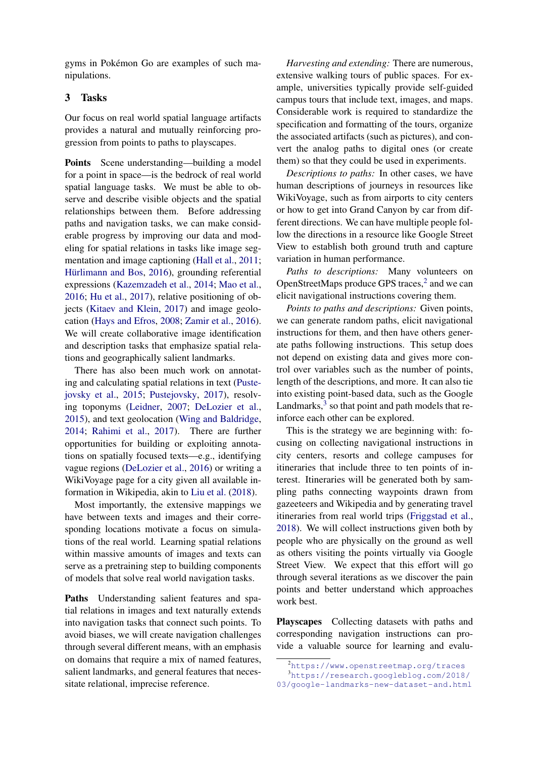gyms in Pokémon Go are examples of such manipulations.

# 3 Tasks

Our focus on real world spatial language artifacts provides a natural and mutually reinforcing progression from points to paths to playscapes.

Points Scene understanding—building a model for a point in space—is the bedrock of real world spatial language tasks. We must be able to observe and describe visible objects and the spatial relationships between them. Before addressing paths and navigation tasks, we can make considerable progress by improving our data and modeling for spatial relations in tasks like image segmentation and image captioning [\(Hall et al.,](#page-5-13) [2011;](#page-5-13) Hürlimann and Bos, [2016\)](#page-5-14), grounding referential expressions [\(Kazemzadeh et al.,](#page-6-13) [2014;](#page-6-13) [Mao et al.,](#page-6-14) [2016;](#page-6-14) [Hu et al.,](#page-5-15) [2017\)](#page-5-15), relative positioning of objects [\(Kitaev and Klein,](#page-6-15) [2017\)](#page-6-15) and image geolocation [\(Hays and Efros,](#page-5-16) [2008;](#page-5-16) [Zamir et al.,](#page-6-16) [2016\)](#page-6-16). We will create collaborative image identification and description tasks that emphasize spatial relations and geographically salient landmarks.

There has also been much work on annotating and calculating spatial relations in text [\(Puste](#page-6-17)[jovsky et al.,](#page-6-17) [2015;](#page-6-17) [Pustejovsky,](#page-6-4) [2017\)](#page-6-4), resolving toponyms [\(Leidner,](#page-6-18) [2007;](#page-6-18) [DeLozier et al.,](#page-5-17) [2015\)](#page-5-17), and text geolocation [\(Wing and Baldridge,](#page-6-19) [2014;](#page-6-19) [Rahimi et al.,](#page-6-20) [2017\)](#page-6-20). There are further opportunities for building or exploiting annotations on spatially focused texts—e.g., identifying vague regions [\(DeLozier et al.,](#page-5-18) [2016\)](#page-5-18) or writing a WikiVoyage page for a city given all available information in Wikipedia, akin to [Liu et al.](#page-6-21) [\(2018\)](#page-6-21).

Most importantly, the extensive mappings we have between texts and images and their corresponding locations motivate a focus on simulations of the real world. Learning spatial relations within massive amounts of images and texts can serve as a pretraining step to building components of models that solve real world navigation tasks.

Paths Understanding salient features and spatial relations in images and text naturally extends into navigation tasks that connect such points. To avoid biases, we will create navigation challenges through several different means, with an emphasis on domains that require a mix of named features, salient landmarks, and general features that necessitate relational, imprecise reference.

*Harvesting and extending:* There are numerous, extensive walking tours of public spaces. For example, universities typically provide self-guided campus tours that include text, images, and maps. Considerable work is required to standardize the specification and formatting of the tours, organize the associated artifacts (such as pictures), and convert the analog paths to digital ones (or create them) so that they could be used in experiments.

*Descriptions to paths:* In other cases, we have human descriptions of journeys in resources like WikiVoyage, such as from airports to city centers or how to get into Grand Canyon by car from different directions. We can have multiple people follow the directions in a resource like Google Street View to establish both ground truth and capture variation in human performance.

*Paths to descriptions:* Many volunteers on OpenStreetMaps produce GPS traces,<sup>[2](#page-3-0)</sup> and we can elicit navigational instructions covering them.

*Points to paths and descriptions:* Given points, we can generate random paths, elicit navigational instructions for them, and then have others generate paths following instructions. This setup does not depend on existing data and gives more control over variables such as the number of points, length of the descriptions, and more. It can also tie into existing point-based data, such as the Google Landmarks, $3$  so that point and path models that reinforce each other can be explored.

This is the strategy we are beginning with: focusing on collecting navigational instructions in city centers, resorts and college campuses for itineraries that include three to ten points of interest. Itineraries will be generated both by sampling paths connecting waypoints drawn from gazeeteers and Wikipedia and by generating travel itineraries from real world trips [\(Friggstad et al.,](#page-5-19) [2018\)](#page-5-19). We will collect instructions given both by people who are physically on the ground as well as others visiting the points virtually via Google Street View. We expect that this effort will go through several iterations as we discover the pain points and better understand which approaches work best.

Playscapes Collecting datasets with paths and corresponding navigation instructions can provide a valuable source for learning and evalu-

<span id="page-3-1"></span><span id="page-3-0"></span><sup>2</sup><https://www.openstreetmap.org/traces>

<sup>3</sup>[https://research.googleblog.com/2018/](https://research.googleblog.com/2018/03/google- landmarks-new-dataset-and.html)

[<sup>03/</sup>google-landmarks-new-dataset-and.html](https://research.googleblog.com/2018/03/google- landmarks-new-dataset-and.html)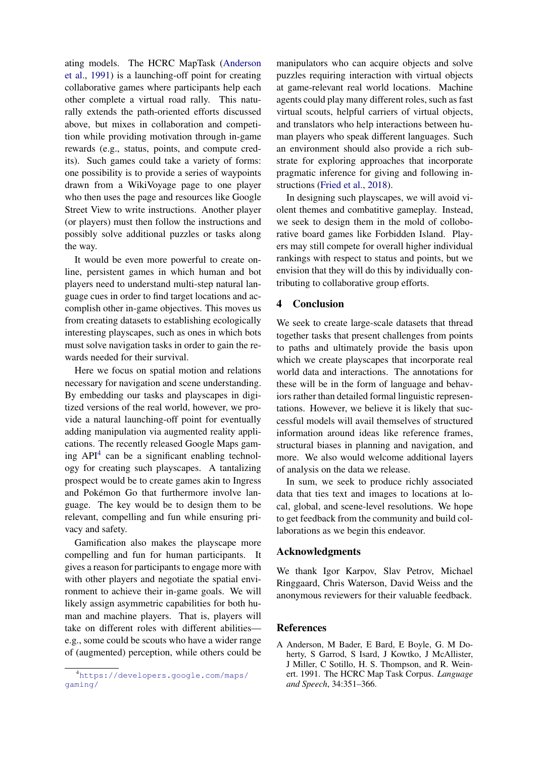ating models. The HCRC MapTask [\(Anderson](#page-4-0) [et al.,](#page-4-0) [1991\)](#page-4-0) is a launching-off point for creating collaborative games where participants help each other complete a virtual road rally. This naturally extends the path-oriented efforts discussed above, but mixes in collaboration and competition while providing motivation through in-game rewards (e.g., status, points, and compute credits). Such games could take a variety of forms: one possibility is to provide a series of waypoints drawn from a WikiVoyage page to one player who then uses the page and resources like Google Street View to write instructions. Another player (or players) must then follow the instructions and possibly solve additional puzzles or tasks along the way.

It would be even more powerful to create online, persistent games in which human and bot players need to understand multi-step natural language cues in order to find target locations and accomplish other in-game objectives. This moves us from creating datasets to establishing ecologically interesting playscapes, such as ones in which bots must solve navigation tasks in order to gain the rewards needed for their survival.

Here we focus on spatial motion and relations necessary for navigation and scene understanding. By embedding our tasks and playscapes in digitized versions of the real world, however, we provide a natural launching-off point for eventually adding manipulation via augmented reality applications. The recently released Google Maps gaming  $API<sup>4</sup>$  $API<sup>4</sup>$  $API<sup>4</sup>$  can be a significant enabling technology for creating such playscapes. A tantalizing prospect would be to create games akin to Ingress and Pokémon Go that furthermore involve language. The key would be to design them to be relevant, compelling and fun while ensuring privacy and safety.

Gamification also makes the playscape more compelling and fun for human participants. It gives a reason for participants to engage more with with other players and negotiate the spatial environment to achieve their in-game goals. We will likely assign asymmetric capabilities for both human and machine players. That is, players will take on different roles with different abilities e.g., some could be scouts who have a wider range of (augmented) perception, while others could be

manipulators who can acquire objects and solve puzzles requiring interaction with virtual objects at game-relevant real world locations. Machine agents could play many different roles, such as fast virtual scouts, helpful carriers of virtual objects, and translators who help interactions between human players who speak different languages. Such an environment should also provide a rich substrate for exploring approaches that incorporate pragmatic inference for giving and following instructions [\(Fried et al.,](#page-5-20) [2018\)](#page-5-20).

In designing such playscapes, we will avoid violent themes and combatitive gameplay. Instead, we seek to design them in the mold of colloborative board games like Forbidden Island. Players may still compete for overall higher individual rankings with respect to status and points, but we envision that they will do this by individually contributing to collaborative group efforts.

# 4 Conclusion

We seek to create large-scale datasets that thread together tasks that present challenges from points to paths and ultimately provide the basis upon which we create playscapes that incorporate real world data and interactions. The annotations for these will be in the form of language and behaviors rather than detailed formal linguistic representations. However, we believe it is likely that successful models will avail themselves of structured information around ideas like reference frames, structural biases in planning and navigation, and more. We also would welcome additional layers of analysis on the data we release.

In sum, we seek to produce richly associated data that ties text and images to locations at local, global, and scene-level resolutions. We hope to get feedback from the community and build collaborations as we begin this endeavor.

#### Acknowledgments

We thank Igor Karpov, Slav Petrov, Michael Ringgaard, Chris Waterson, David Weiss and the anonymous reviewers for their valuable feedback.

#### References

<span id="page-4-1"></span><sup>4</sup>[https://developers.google.com/maps/](https://developers.google.com/maps/gaming/) [gaming/](https://developers.google.com/maps/gaming/)

<span id="page-4-0"></span>A Anderson, M Bader, E Bard, E Boyle, G. M Doherty, S Garrod, S Isard, J Kowtko, J McAllister, J Miller, C Sotillo, H. S. Thompson, and R. Weinert. 1991. The HCRC Map Task Corpus. *Language and Speech*, 34:351–366.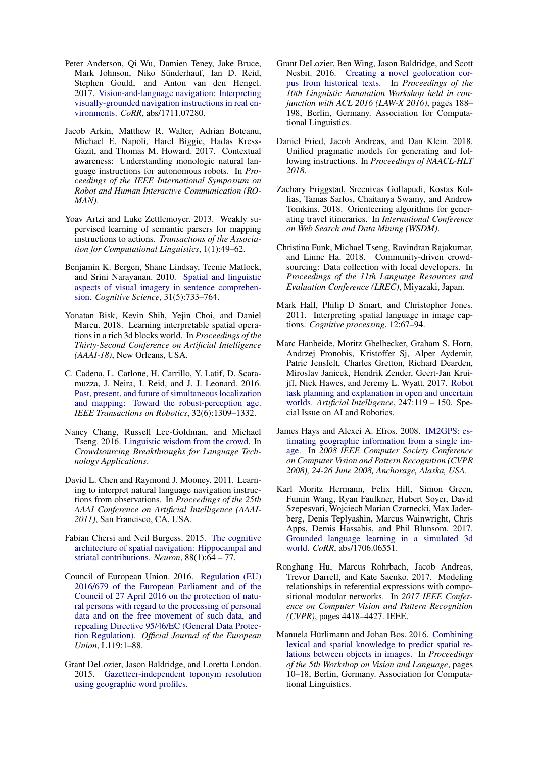- <span id="page-5-12"></span>Peter Anderson, Qi Wu, Damien Teney, Jake Bruce, Mark Johnson, Niko Sünderhauf, Ian D. Reid, Stephen Gould, and Anton van den Hengel. 2017. [Vision-and-language navigation: Interpreting](http://arxiv.org/abs/1711.07280) [visually-grounded navigation instructions in real en](http://arxiv.org/abs/1711.07280)[vironments.](http://arxiv.org/abs/1711.07280) *CoRR*, abs/1711.07280.
- <span id="page-5-10"></span>Jacob Arkin, Matthew R. Walter, Adrian Boteanu, Michael E. Napoli, Harel Biggie, Hadas Kress-Gazit, and Thomas M. Howard. 2017. Contextual awareness: Understanding monologic natural language instructions for autonomous robots. In *Proceedings of the IEEE International Symposium on Robot and Human Interactive Communication (RO-MAN)*.
- <span id="page-5-5"></span>Yoav Artzi and Luke Zettlemoyer. 2013. Weakly supervised learning of semantic parsers for mapping instructions to actions. *Transactions of the Association for Computational Linguistics*, 1(1):49–62.
- <span id="page-5-0"></span>Benjamin K. Bergen, Shane Lindsay, Teenie Matlock, and Srini Narayanan. 2010. [Spatial and linguistic](https://doi.org/10.1080/03640210701530748) [aspects of visual imagery in sentence comprehen](https://doi.org/10.1080/03640210701530748)[sion.](https://doi.org/10.1080/03640210701530748) *Cognitive Science*, 31(5):733–764.
- <span id="page-5-6"></span>Yonatan Bisk, Kevin Shih, Yejin Choi, and Daniel Marcu. 2018. Learning interpretable spatial operations in a rich 3d blocks world. In *Proceedings of the Thirty-Second Conference on Artificial Intelligence (AAAI-18)*, New Orleans, USA.
- <span id="page-5-7"></span>C. Cadena, L. Carlone, H. Carrillo, Y. Latif, D. Scaramuzza, J. Neira, I. Reid, and J. J. Leonard. 2016. [Past, present, and future of simultaneous localization](https://doi.org/10.1109/TRO.2016.2624754) [and mapping: Toward the robust-perception age.](https://doi.org/10.1109/TRO.2016.2624754) *IEEE Transactions on Robotics*, 32(6):1309–1332.
- <span id="page-5-3"></span>Nancy Chang, Russell Lee-Goldman, and Michael Tseng. 2016. [Linguistic wisdom from the crowd.](http://www.aaai.org/ocs/index.php/HCOMP/HCOMP15/paper/viewFile/11737/12331) In *Crowdsourcing Breakthroughs for Language Technology Applications*.
- <span id="page-5-4"></span>David L. Chen and Raymond J. Mooney. 2011. Learning to interpret natural language navigation instructions from observations. In *Proceedings of the 25th AAAI Conference on Artificial Intelligence (AAAI-2011)*, San Francisco, CA, USA.
- <span id="page-5-1"></span>Fabian Chersi and Neil Burgess. 2015. [The cognitive](https://doi.org/https://doi.org/10.1016/j.neuron.2015.09.021) [architecture of spatial navigation: Hippocampal and](https://doi.org/https://doi.org/10.1016/j.neuron.2015.09.021) [striatal contributions.](https://doi.org/https://doi.org/10.1016/j.neuron.2015.09.021) *Neuron*, 88(1):64 – 77.
- <span id="page-5-8"></span>Council of European Union. 2016. [Regulation \(EU\)](http://eur-lex.europa.eu/legal-content/EN/TXT/?uri=OJ:L:2016:119:TOC) [2016/679 of the European Parliament and of the](http://eur-lex.europa.eu/legal-content/EN/TXT/?uri=OJ:L:2016:119:TOC) [Council of 27 April 2016 on the protection of natu](http://eur-lex.europa.eu/legal-content/EN/TXT/?uri=OJ:L:2016:119:TOC)[ral persons with regard to the processing of personal](http://eur-lex.europa.eu/legal-content/EN/TXT/?uri=OJ:L:2016:119:TOC) [data and on the free movement of such data, and](http://eur-lex.europa.eu/legal-content/EN/TXT/?uri=OJ:L:2016:119:TOC) [repealing Directive 95/46/EC \(General Data Protec](http://eur-lex.europa.eu/legal-content/EN/TXT/?uri=OJ:L:2016:119:TOC)[tion Regulation\).](http://eur-lex.europa.eu/legal-content/EN/TXT/?uri=OJ:L:2016:119:TOC) *Official Journal of the European Union*, L119:1–88.
- <span id="page-5-17"></span>Grant DeLozier, Jason Baldridge, and Loretta London. 2015. [Gazetteer-independent toponym resolution](https://www.aaai.org/ocs/index.php/AAAI/AAAI15/paper/view/9823) [using geographic word profiles.](https://www.aaai.org/ocs/index.php/AAAI/AAAI15/paper/view/9823)
- <span id="page-5-18"></span>Grant DeLozier, Ben Wing, Jason Baldridge, and Scott Nesbit. 2016. [Creating a novel geolocation cor](http://anthology.aclweb.org/W16-1721)[pus from historical texts.](http://anthology.aclweb.org/W16-1721) In *Proceedings of the 10th Linguistic Annotation Workshop held in conjunction with ACL 2016 (LAW-X 2016)*, pages 188– 198, Berlin, Germany. Association for Computational Linguistics.
- <span id="page-5-20"></span>Daniel Fried, Jacob Andreas, and Dan Klein. 2018. Unified pragmatic models for generating and following instructions. In *Proceedings of NAACL-HLT 2018*.
- <span id="page-5-19"></span>Zachary Friggstad, Sreenivas Gollapudi, Kostas Kollias, Tamas Sarlos, Chaitanya Swamy, and Andrew Tomkins. 2018. Orienteering algorithms for generating travel itineraries. In *International Conference on Web Search and Data Mining (WSDM)*.
- <span id="page-5-2"></span>Christina Funk, Michael Tseng, Ravindran Rajakumar, and Linne Ha. 2018. Community-driven crowdsourcing: Data collection with local developers. In *Proceedings of the 11th Language Resources and Evaluation Conference (LREC)*, Miyazaki, Japan.
- <span id="page-5-13"></span>Mark Hall, Philip D Smart, and Christopher Jones. 2011. Interpreting spatial language in image captions. *Cognitive processing*, 12:67–94.
- <span id="page-5-9"></span>Marc Hanheide, Moritz Gbelbecker, Graham S. Horn, Andrzej Pronobis, Kristoffer Sj, Alper Aydemir, Patric Jensfelt, Charles Gretton, Richard Dearden, Miroslav Janicek, Hendrik Zender, Geert-Jan Kruijff, Nick Hawes, and Jeremy L. Wyatt. 2017. [Robot](https://doi.org/https://doi.org/10.1016/j.artint.2015.08.008) [task planning and explanation in open and uncertain](https://doi.org/https://doi.org/10.1016/j.artint.2015.08.008) [worlds.](https://doi.org/https://doi.org/10.1016/j.artint.2015.08.008) *Artificial Intelligence*, 247:119 – 150. Special Issue on AI and Robotics.
- <span id="page-5-16"></span>James Hays and Alexei A. Efros. 2008. [IM2GPS: es](https://doi.org/10.1109/CVPR.2008.4587784)[timating geographic information from a single im](https://doi.org/10.1109/CVPR.2008.4587784)[age.](https://doi.org/10.1109/CVPR.2008.4587784) In *2008 IEEE Computer Society Conference on Computer Vision and Pattern Recognition (CVPR 2008), 24-26 June 2008, Anchorage, Alaska, USA*.
- <span id="page-5-11"></span>Karl Moritz Hermann, Felix Hill, Simon Green, Fumin Wang, Ryan Faulkner, Hubert Soyer, David Szepesvari, Wojciech Marian Czarnecki, Max Jaderberg, Denis Teplyashin, Marcus Wainwright, Chris Apps, Demis Hassabis, and Phil Blunsom. 2017. [Grounded language learning in a simulated 3d](http://arxiv.org/abs/1706.06551) [world.](http://arxiv.org/abs/1706.06551) *CoRR*, abs/1706.06551.
- <span id="page-5-15"></span>Ronghang Hu, Marcus Rohrbach, Jacob Andreas, Trevor Darrell, and Kate Saenko. 2017. Modeling relationships in referential expressions with compositional modular networks. In *2017 IEEE Conference on Computer Vision and Pattern Recognition (CVPR)*, pages 4418–4427. IEEE.
- <span id="page-5-14"></span>Manuela Hürlimann and Johan Bos. 2016. [Combining](http://anthology.aclweb.org/W16-3202) [lexical and spatial knowledge to predict spatial re](http://anthology.aclweb.org/W16-3202)[lations between objects in images.](http://anthology.aclweb.org/W16-3202) In *Proceedings of the 5th Workshop on Vision and Language*, pages 10–18, Berlin, Germany. Association for Computational Linguistics.